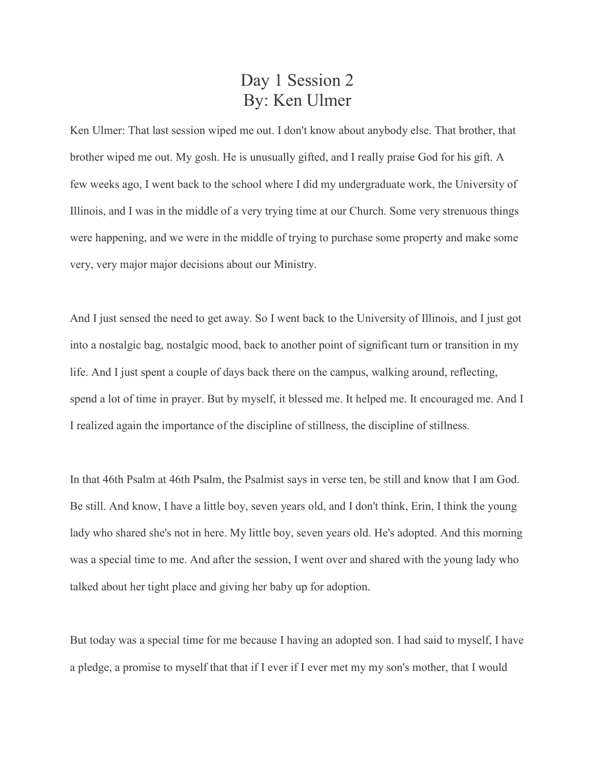## Day 1 Session 2 By: Ken Ulmer

Ken Ulmer: That last session wiped me out. I don't know about anybody else. That brother, that brother wiped me out. My gosh. He is unusually gifted, and I really praise God for his gift. A few weeks ago, I went back to the school where I did my undergraduate work, the University of Illinois, and I was in the middle of a very trying time at our Church. Some very strenuous things were happening, and we were in the middle of trying to purchase some property and make some very, very major major decisions about our Ministry.

And I just sensed the need to get away. So I went back to the University of Illinois, and I just got into a nostalgic bag, nostalgic mood, back to another point of significant turn or transition in my life. And I just spent a couple of days back there on the campus, walking around, reflecting, spend a lot of time in prayer. But by myself, it blessed me. It helped me. It encouraged me. And I I realized again the importance of the discipline of stillness, the discipline of stillness.

In that 46th Psalm at 46th Psalm, the Psalmist says in verse ten, be still and know that I am God. Be still. And know, I have a little boy, seven years old, and I don't think, Erin, I think the young lady who shared she's not in here. My little boy, seven years old. He's adopted. And this morning was a special time to me. And after the session, I went over and shared with the young lady who talked about her tight place and giving her baby up for adoption.

But today was a special time for me because I having an adopted son. I had said to myself, I have a pledge, a promise to myself that that if I ever if I ever met my my son's mother, that I would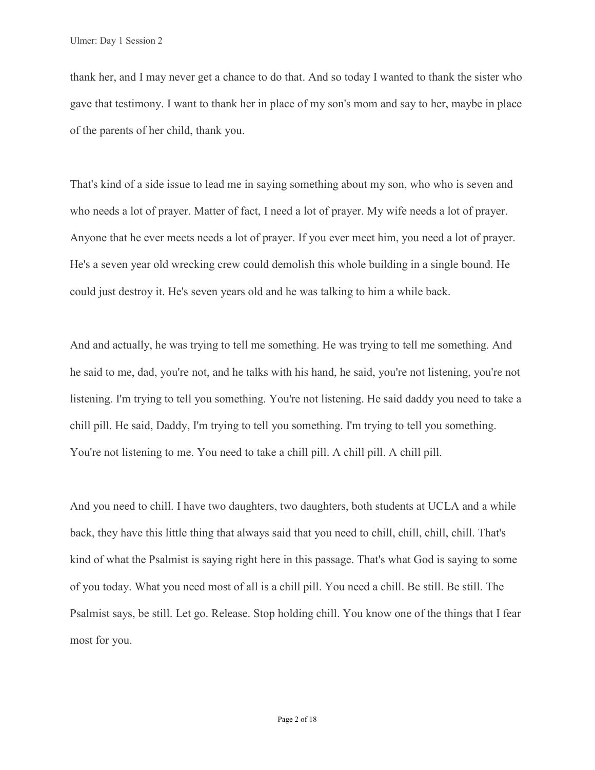thank her, and I may never get a chance to do that. And so today I wanted to thank the sister who gave that testimony. I want to thank her in place of my son's mom and say to her, maybe in place of the parents of her child, thank you.

That's kind of a side issue to lead me in saying something about my son, who who is seven and who needs a lot of prayer. Matter of fact, I need a lot of prayer. My wife needs a lot of prayer. Anyone that he ever meets needs a lot of prayer. If you ever meet him, you need a lot of prayer. He's a seven year old wrecking crew could demolish this whole building in a single bound. He could just destroy it. He's seven years old and he was talking to him a while back.

And and actually, he was trying to tell me something. He was trying to tell me something. And he said to me, dad, you're not, and he talks with his hand, he said, you're not listening, you're not listening. I'm trying to tell you something. You're not listening. He said daddy you need to take a chill pill. He said, Daddy, I'm trying to tell you something. I'm trying to tell you something. You're not listening to me. You need to take a chill pill. A chill pill. A chill pill.

And you need to chill. I have two daughters, two daughters, both students at UCLA and a while back, they have this little thing that always said that you need to chill, chill, chill, chill. That's kind of what the Psalmist is saying right here in this passage. That's what God is saying to some of you today. What you need most of all is a chill pill. You need a chill. Be still. Be still. The Psalmist says, be still. Let go. Release. Stop holding chill. You know one of the things that I fear most for you.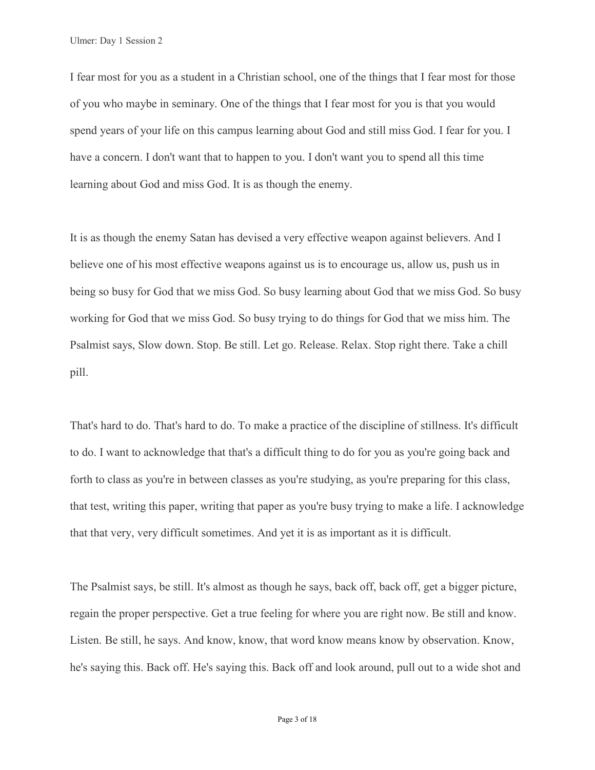I fear most for you as a student in a Christian school, one of the things that I fear most for those of you who maybe in seminary. One of the things that I fear most for you is that you would spend years of your life on this campus learning about God and still miss God. I fear for you. I have a concern. I don't want that to happen to you. I don't want you to spend all this time learning about God and miss God. It is as though the enemy.

It is as though the enemy Satan has devised a very effective weapon against believers. And I believe one of his most effective weapons against us is to encourage us, allow us, push us in being so busy for God that we miss God. So busy learning about God that we miss God. So busy working for God that we miss God. So busy trying to do things for God that we miss him. The Psalmist says, Slow down. Stop. Be still. Let go. Release. Relax. Stop right there. Take a chill pill.

That's hard to do. That's hard to do. To make a practice of the discipline of stillness. It's difficult to do. I want to acknowledge that that's a difficult thing to do for you as you're going back and forth to class as you're in between classes as you're studying, as you're preparing for this class, that test, writing this paper, writing that paper as you're busy trying to make a life. I acknowledge that that very, very difficult sometimes. And yet it is as important as it is difficult.

The Psalmist says, be still. It's almost as though he says, back off, back off, get a bigger picture, regain the proper perspective. Get a true feeling for where you are right now. Be still and know. Listen. Be still, he says. And know, know, that word know means know by observation. Know, he's saying this. Back off. He's saying this. Back off and look around, pull out to a wide shot and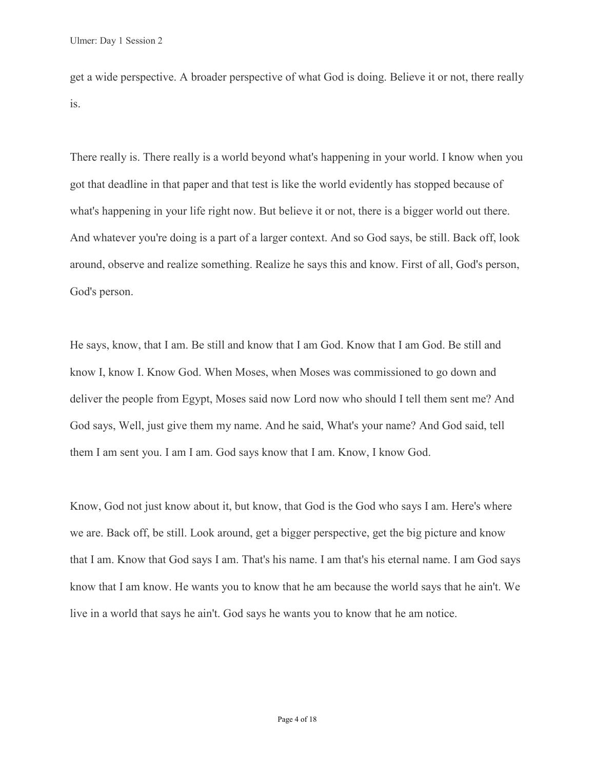get a wide perspective. A broader perspective of what God is doing. Believe it or not, there really is.

There really is. There really is a world beyond what's happening in your world. I know when you got that deadline in that paper and that test is like the world evidently has stopped because of what's happening in your life right now. But believe it or not, there is a bigger world out there. And whatever you're doing is a part of a larger context. And so God says, be still. Back off, look around, observe and realize something. Realize he says this and know. First of all, God's person, God's person.

He says, know, that I am. Be still and know that I am God. Know that I am God. Be still and know I, know I. Know God. When Moses, when Moses was commissioned to go down and deliver the people from Egypt, Moses said now Lord now who should I tell them sent me? And God says, Well, just give them my name. And he said, What's your name? And God said, tell them I am sent you. I am I am. God says know that I am. Know, I know God.

Know, God not just know about it, but know, that God is the God who says I am. Here's where we are. Back off, be still. Look around, get a bigger perspective, get the big picture and know that I am. Know that God says I am. That's his name. I am that's his eternal name. I am God says know that I am know. He wants you to know that he am because the world says that he ain't. We live in a world that says he ain't. God says he wants you to know that he am notice.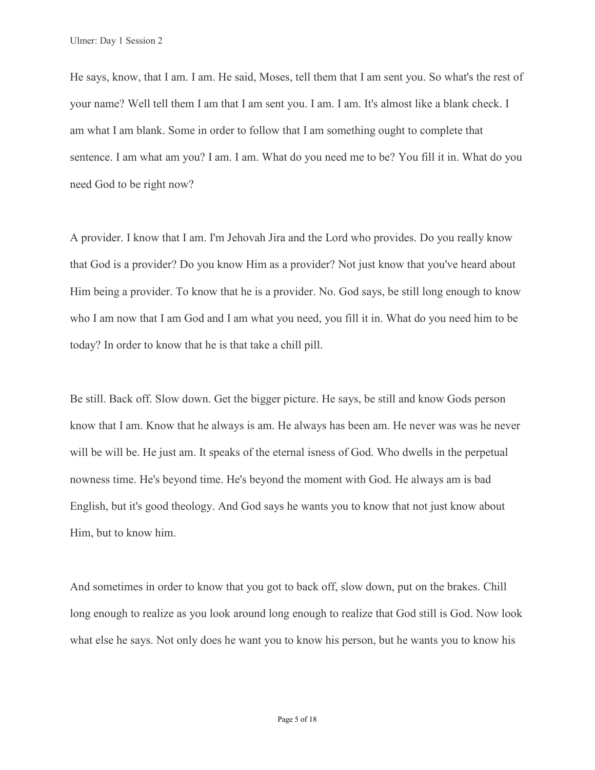He says, know, that I am. I am. He said, Moses, tell them that I am sent you. So what's the rest of your name? Well tell them I am that I am sent you. I am. I am. It's almost like a blank check. I am what I am blank. Some in order to follow that I am something ought to complete that sentence. I am what am you? I am. I am. What do you need me to be? You fill it in. What do you need God to be right now?

A provider. I know that I am. I'm Jehovah Jira and the Lord who provides. Do you really know that God is a provider? Do you know Him as a provider? Not just know that you've heard about Him being a provider. To know that he is a provider. No. God says, be still long enough to know who I am now that I am God and I am what you need, you fill it in. What do you need him to be today? In order to know that he is that take a chill pill.

Be still. Back off. Slow down. Get the bigger picture. He says, be still and know Gods person know that I am. Know that he always is am. He always has been am. He never was was he never will be will be. He just am. It speaks of the eternal isness of God. Who dwells in the perpetual nowness time. He's beyond time. He's beyond the moment with God. He always am is bad English, but it's good theology. And God says he wants you to know that not just know about Him, but to know him.

And sometimes in order to know that you got to back off, slow down, put on the brakes. Chill long enough to realize as you look around long enough to realize that God still is God. Now look what else he says. Not only does he want you to know his person, but he wants you to know his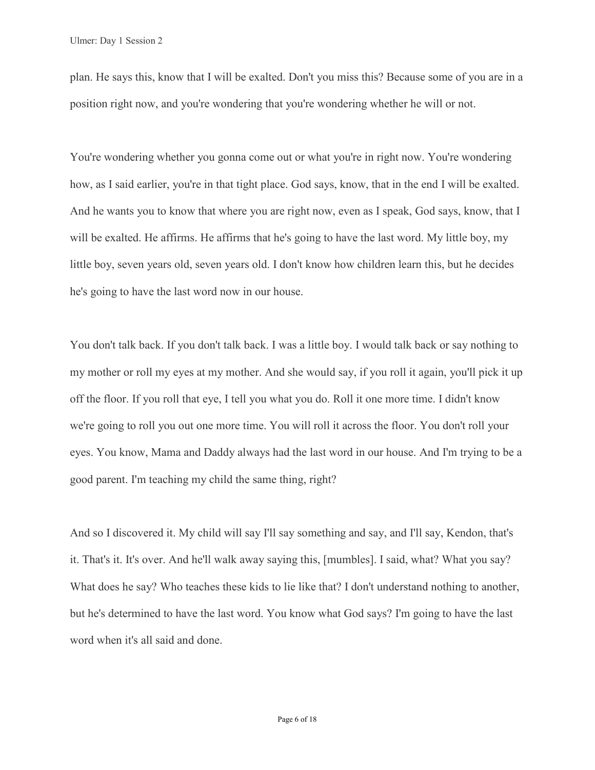plan. He says this, know that I will be exalted. Don't you miss this? Because some of you are in a position right now, and you're wondering that you're wondering whether he will or not.

You're wondering whether you gonna come out or what you're in right now. You're wondering how, as I said earlier, you're in that tight place. God says, know, that in the end I will be exalted. And he wants you to know that where you are right now, even as I speak, God says, know, that I will be exalted. He affirms. He affirms that he's going to have the last word. My little boy, my little boy, seven years old, seven years old. I don't know how children learn this, but he decides he's going to have the last word now in our house.

You don't talk back. If you don't talk back. I was a little boy. I would talk back or say nothing to my mother or roll my eyes at my mother. And she would say, if you roll it again, you'll pick it up off the floor. If you roll that eye, I tell you what you do. Roll it one more time. I didn't know we're going to roll you out one more time. You will roll it across the floor. You don't roll your eyes. You know, Mama and Daddy always had the last word in our house. And I'm trying to be a good parent. I'm teaching my child the same thing, right?

And so I discovered it. My child will say I'll say something and say, and I'll say, Kendon, that's it. That's it. It's over. And he'll walk away saying this, [mumbles]. I said, what? What you say? What does he say? Who teaches these kids to lie like that? I don't understand nothing to another, but he's determined to have the last word. You know what God says? I'm going to have the last word when it's all said and done.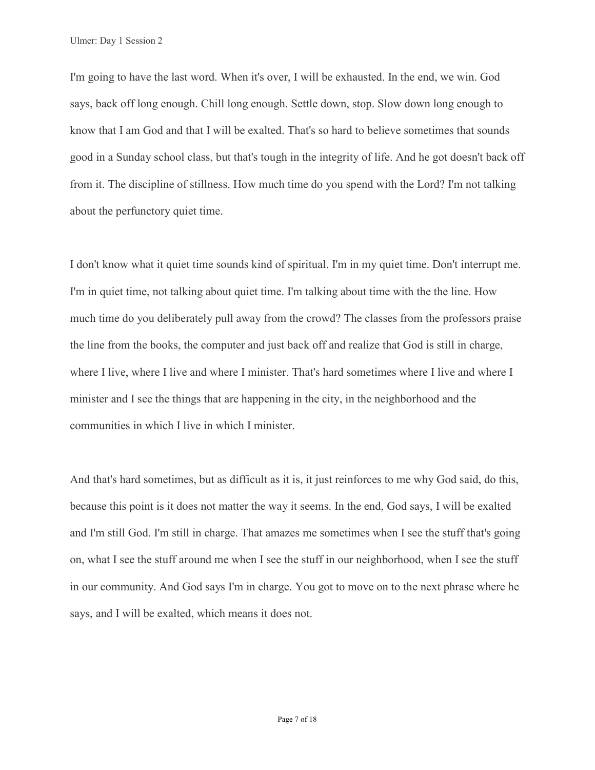Ulmer: Day 1 Session 2

I'm going to have the last word. When it's over, I will be exhausted. In the end, we win. God says, back off long enough. Chill long enough. Settle down, stop. Slow down long enough to know that I am God and that I will be exalted. That's so hard to believe sometimes that sounds good in a Sunday school class, but that's tough in the integrity of life. And he got doesn't back off from it. The discipline of stillness. How much time do you spend with the Lord? I'm not talking about the perfunctory quiet time.

I don't know what it quiet time sounds kind of spiritual. I'm in my quiet time. Don't interrupt me. I'm in quiet time, not talking about quiet time. I'm talking about time with the the line. How much time do you deliberately pull away from the crowd? The classes from the professors praise the line from the books, the computer and just back off and realize that God is still in charge, where I live, where I live and where I minister. That's hard sometimes where I live and where I minister and I see the things that are happening in the city, in the neighborhood and the communities in which I live in which I minister.

And that's hard sometimes, but as difficult as it is, it just reinforces to me why God said, do this, because this point is it does not matter the way it seems. In the end, God says, I will be exalted and I'm still God. I'm still in charge. That amazes me sometimes when I see the stuff that's going on, what I see the stuff around me when I see the stuff in our neighborhood, when I see the stuff in our community. And God says I'm in charge. You got to move on to the next phrase where he says, and I will be exalted, which means it does not.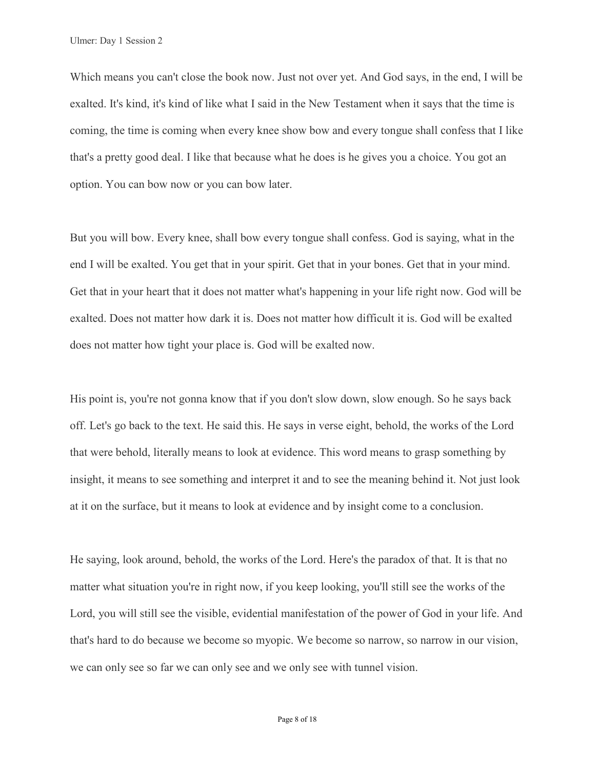Ulmer: Day 1 Session 2

Which means you can't close the book now. Just not over yet. And God says, in the end, I will be exalted. It's kind, it's kind of like what I said in the New Testament when it says that the time is coming, the time is coming when every knee show bow and every tongue shall confess that I like that's a pretty good deal. I like that because what he does is he gives you a choice. You got an option. You can bow now or you can bow later.

But you will bow. Every knee, shall bow every tongue shall confess. God is saying, what in the end I will be exalted. You get that in your spirit. Get that in your bones. Get that in your mind. Get that in your heart that it does not matter what's happening in your life right now. God will be exalted. Does not matter how dark it is. Does not matter how difficult it is. God will be exalted does not matter how tight your place is. God will be exalted now.

His point is, you're not gonna know that if you don't slow down, slow enough. So he says back off. Let's go back to the text. He said this. He says in verse eight, behold, the works of the Lord that were behold, literally means to look at evidence. This word means to grasp something by insight, it means to see something and interpret it and to see the meaning behind it. Not just look at it on the surface, but it means to look at evidence and by insight come to a conclusion.

He saying, look around, behold, the works of the Lord. Here's the paradox of that. It is that no matter what situation you're in right now, if you keep looking, you'll still see the works of the Lord, you will still see the visible, evidential manifestation of the power of God in your life. And that's hard to do because we become so myopic. We become so narrow, so narrow in our vision, we can only see so far we can only see and we only see with tunnel vision.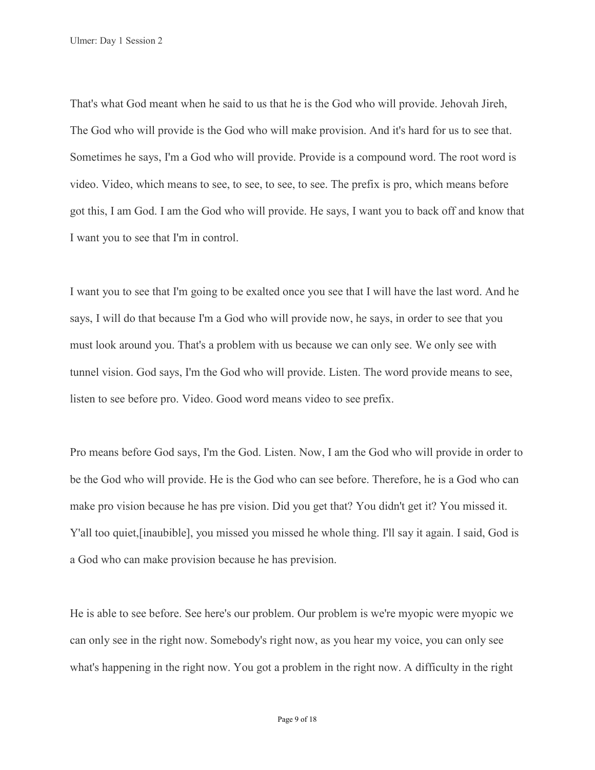Ulmer: Day 1 Session 2

That's what God meant when he said to us that he is the God who will provide. Jehovah Jireh, The God who will provide is the God who will make provision. And it's hard for us to see that. Sometimes he says, I'm a God who will provide. Provide is a compound word. The root word is video. Video, which means to see, to see, to see, to see. The prefix is pro, which means before got this, I am God. I am the God who will provide. He says, I want you to back off and know that I want you to see that I'm in control.

I want you to see that I'm going to be exalted once you see that I will have the last word. And he says, I will do that because I'm a God who will provide now, he says, in order to see that you must look around you. That's a problem with us because we can only see. We only see with tunnel vision. God says, I'm the God who will provide. Listen. The word provide means to see, listen to see before pro. Video. Good word means video to see prefix.

Pro means before God says, I'm the God. Listen. Now, I am the God who will provide in order to be the God who will provide. He is the God who can see before. Therefore, he is a God who can make pro vision because he has pre vision. Did you get that? You didn't get it? You missed it. Y'all too quiet, [inaubible], you missed you missed he whole thing. I'll say it again. I said, God is a God who can make provision because he has prevision.

He is able to see before. See here's our problem. Our problem is we're myopic were myopic we can only see in the right now. Somebody's right now, as you hear my voice, you can only see what's happening in the right now. You got a problem in the right now. A difficulty in the right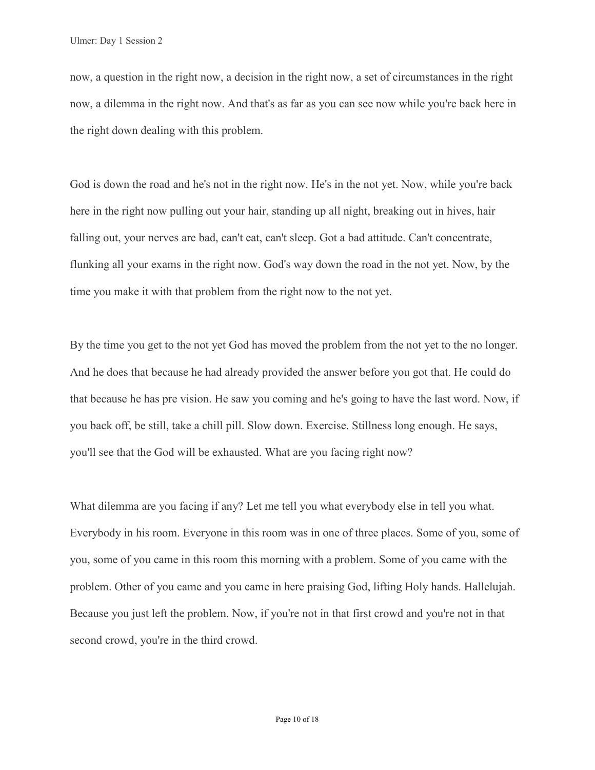now, a question in the right now, a decision in the right now, a set of circumstances in the right now, a dilemma in the right now. And that's as far as you can see now while you're back here in the right down dealing with this problem.

God is down the road and he's not in the right now. He's in the not yet. Now, while you're back here in the right now pulling out your hair, standing up all night, breaking out in hives, hair falling out, your nerves are bad, can't eat, can't sleep. Got a bad attitude. Can't concentrate, flunking all your exams in the right now. God's way down the road in the not yet. Now, by the time you make it with that problem from the right now to the not yet.

By the time you get to the not yet God has moved the problem from the not yet to the no longer. And he does that because he had already provided the answer before you got that. He could do that because he has pre vision. He saw you coming and he's going to have the last word. Now, if you back off, be still, take a chill pill. Slow down. Exercise. Stillness long enough. He says, you'll see that the God will be exhausted. What are you facing right now?

What dilemma are you facing if any? Let me tell you what everybody else in tell you what. Everybody in his room. Everyone in this room was in one of three places. Some of you, some of you, some of you came in this room this morning with a problem. Some of you came with the problem. Other of you came and you came in here praising God, lifting Holy hands. Hallelujah. Because you just left the problem. Now, if you're not in that first crowd and you're not in that second crowd, you're in the third crowd.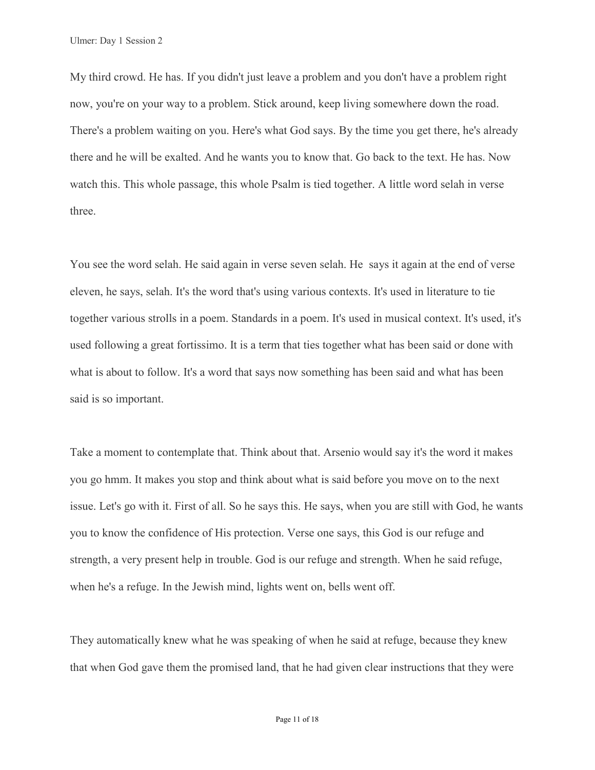My third crowd. He has. If you didn't just leave a problem and you don't have a problem right now, you're on your way to a problem. Stick around, keep living somewhere down the road. There's a problem waiting on you. Here's what God says. By the time you get there, he's already there and he will be exalted. And he wants you to know that. Go back to the text. He has. Now watch this. This whole passage, this whole Psalm is tied together. A little word selah in verse three.

You see the word selah. He said again in verse seven selah. He says it again at the end of verse eleven, he says, selah. It's the word that's using various contexts. It's used in literature to tie together various strolls in a poem. Standards in a poem. It's used in musical context. It's used, it's used following a great fortissimo. It is a term that ties together what has been said or done with what is about to follow. It's a word that says now something has been said and what has been said is so important.

Take a moment to contemplate that. Think about that. Arsenio would say it's the word it makes you go hmm. It makes you stop and think about what is said before you move on to the next issue. Let's go with it. First of all. So he says this. He says, when you are still with God, he wants you to know the confidence of His protection. Verse one says, this God is our refuge and strength, a very present help in trouble. God is our refuge and strength. When he said refuge, when he's a refuge. In the Jewish mind, lights went on, bells went off.

They automatically knew what he was speaking of when he said at refuge, because they knew that when God gave them the promised land, that he had given clear instructions that they were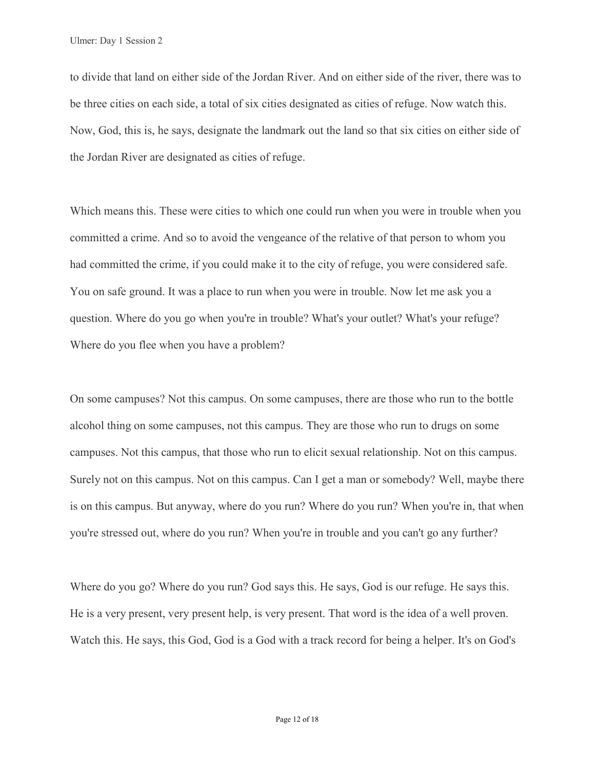to divide that land on either side of the Jordan River. And on either side of the river, there was to be three cities on each side, a total of six cities designated as cities of refuge. Now watch this. Now, God, this is, he says, designate the landmark out the land so that six cities on either side of the Jordan River are designated as cities of refuge.

Which means this. These were cities to which one could run when you were in trouble when you committed a crime. And so to avoid the vengeance of the relative of that person to whom you had committed the crime, if you could make it to the city of refuge, you were considered safe. You on safe ground. It was a place to run when you were in trouble. Now let me ask you a question. Where do you go when you're in trouble? What's your outlet? What's your refuge? Where do you flee when you have a problem?

On some campuses? Not this campus. On some campuses, there are those who run to the bottle alcohol thing on some campuses, not this campus. They are those who run to drugs on some campuses. Not this campus, that those who run to elicit sexual relationship. Not on this campus. Surely not on this campus. Not on this campus. Can I get a man or somebody? Well, maybe there is on this campus. But anyway, where do you run? Where do you run? When you're in, that when you're stressed out, where do you run? When you're in trouble and you can't go any further?

Where do you go? Where do you run? God says this. He says, God is our refuge. He says this. He is a very present, very present help, is very present. That word is the idea of a well proven. Watch this. He says, this God, God is a God with a track record for being a helper. It's on God's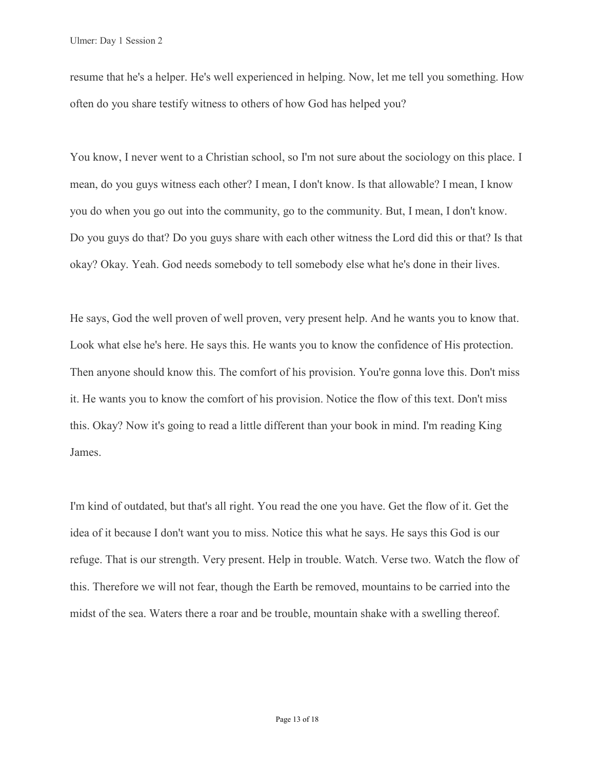resume that he's a helper. He's well experienced in helping. Now, let me tell you something. How often do you share testify witness to others of how God has helped you?

You know, I never went to a Christian school, so I'm not sure about the sociology on this place. I mean, do you guys witness each other? I mean, I don't know. Is that allowable? I mean, I know you do when you go out into the community, go to the community. But, I mean, I don't know. Do you guys do that? Do you guys share with each other witness the Lord did this or that? Is that okay? Okay. Yeah. God needs somebody to tell somebody else what he's done in their lives.

He says, God the well proven of well proven, very present help. And he wants you to know that. Look what else he's here. He says this. He wants you to know the confidence of His protection. Then anyone should know this. The comfort of his provision. You're gonna love this. Don't miss it. He wants you to know the comfort of his provision. Notice the flow of this text. Don't miss this. Okay? Now it's going to read a little different than your book in mind. I'm reading King James.

I'm kind of outdated, but that's all right. You read the one you have. Get the flow of it. Get the idea of it because I don't want you to miss. Notice this what he says. He says this God is our refuge. That is our strength. Very present. Help in trouble. Watch. Verse two. Watch the flow of this. Therefore we will not fear, though the Earth be removed, mountains to be carried into the midst of the sea. Waters there a roar and be trouble, mountain shake with a swelling thereof.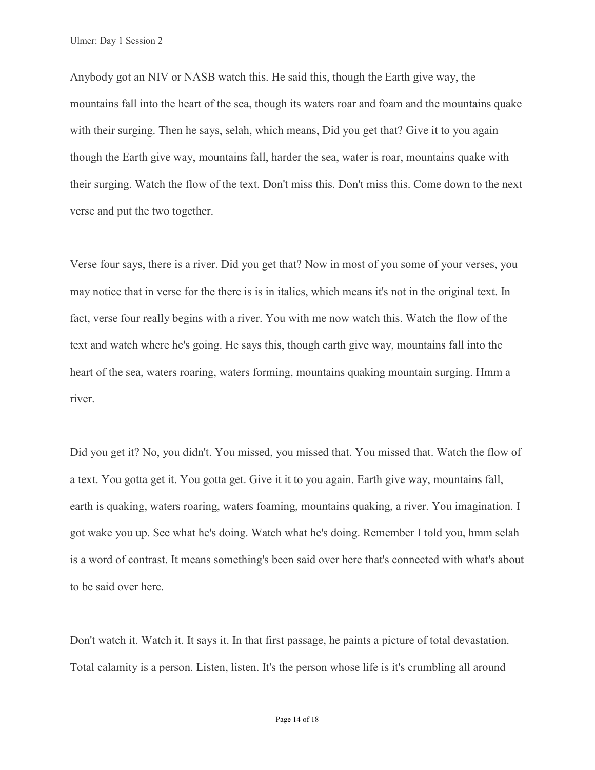Anybody got an NIV or NASB watch this. He said this, though the Earth give way, the mountains fall into the heart of the sea, though its waters roar and foam and the mountains quake with their surging. Then he says, selah, which means, Did you get that? Give it to you again though the Earth give way, mountains fall, harder the sea, water is roar, mountains quake with their surging. Watch the flow of the text. Don't miss this. Don't miss this. Come down to the next verse and put the two together.

Verse four says, there is a river. Did you get that? Now in most of you some of your verses, you may notice that in verse for the there is is in italics, which means it's not in the original text. In fact, verse four really begins with a river. You with me now watch this. Watch the flow of the text and watch where he's going. He says this, though earth give way, mountains fall into the heart of the sea, waters roaring, waters forming, mountains quaking mountain surging. Hmm a river.

Did you get it? No, you didn't. You missed, you missed that. You missed that. Watch the flow of a text. You gotta get it. You gotta get. Give it it to you again. Earth give way, mountains fall, earth is quaking, waters roaring, waters foaming, mountains quaking, a river. You imagination. I got wake you up. See what he's doing. Watch what he's doing. Remember I told you, hmm selah is a word of contrast. It means something's been said over here that's connected with what's about to be said over here.

Don't watch it. Watch it. It says it. In that first passage, he paints a picture of total devastation. Total calamity is a person. Listen, listen. It's the person whose life is it's crumbling all around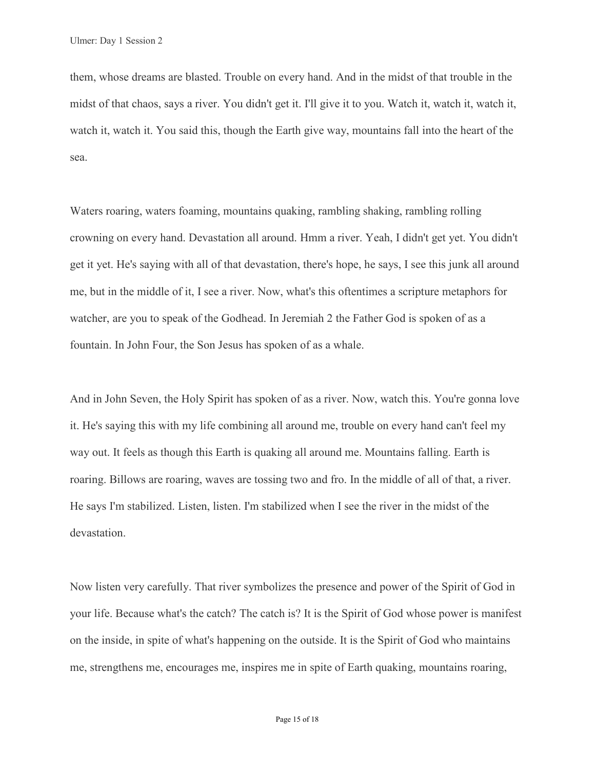them, whose dreams are blasted. Trouble on every hand. And in the midst of that trouble in the midst of that chaos, says a river. You didn't get it. I'll give it to you. Watch it, watch it, watch it, watch it, watch it. You said this, though the Earth give way, mountains fall into the heart of the sea.

Waters roaring, waters foaming, mountains quaking, rambling shaking, rambling rolling crowning on every hand. Devastation all around. Hmm a river. Yeah, I didn't get yet. You didn't get it yet. He's saying with all of that devastation, there's hope, he says, I see this junk all around me, but in the middle of it, I see a river. Now, what's this oftentimes a scripture metaphors for watcher, are you to speak of the Godhead. In Jeremiah 2 the Father God is spoken of as a fountain. In John Four, the Son Jesus has spoken of as a whale.

And in John Seven, the Holy Spirit has spoken of as a river. Now, watch this. You're gonna love it. He's saying this with my life combining all around me, trouble on every hand can't feel my way out. It feels as though this Earth is quaking all around me. Mountains falling. Earth is roaring. Billows are roaring, waves are tossing two and fro. In the middle of all of that, a river. He says I'm stabilized. Listen, listen. I'm stabilized when I see the river in the midst of the devastation.

Now listen very carefully. That river symbolizes the presence and power of the Spirit of God in your life. Because what's the catch? The catch is? It is the Spirit of God whose power is manifest on the inside, in spite of what's happening on the outside. It is the Spirit of God who maintains me, strengthens me, encourages me, inspires me in spite of Earth quaking, mountains roaring,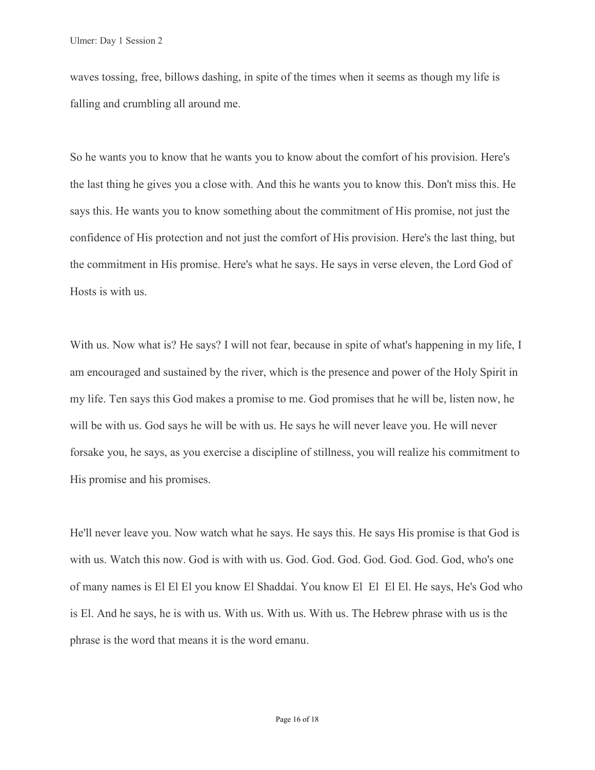waves tossing, free, billows dashing, in spite of the times when it seems as though my life is falling and crumbling all around me.

So he wants you to know that he wants you to know about the comfort of his provision. Here's the last thing he gives you a close with. And this he wants you to know this. Don't miss this. He says this. He wants you to know something about the commitment of His promise, not just the confidence of His protection and not just the comfort of His provision. Here's the last thing, but the commitment in His promise. Here's what he says. He says in verse eleven, the Lord God of Hosts is with us.

With us. Now what is? He says? I will not fear, because in spite of what's happening in my life, I am encouraged and sustained by the river, which is the presence and power of the Holy Spirit in my life. Ten says this God makes a promise to me. God promises that he will be, listen now, he will be with us. God says he will be with us. He says he will never leave you. He will never forsake you, he says, as you exercise a discipline of stillness, you will realize his commitment to His promise and his promises.

He'll never leave you. Now watch what he says. He says this. He says His promise is that God is with us. Watch this now. God is with with us. God. God. God. God. God. God. God, who's one of many names is El El El you know El Shaddai. You know El El El El. He says, He's God who is El. And he says, he is with us. With us. With us. With us. The Hebrew phrase with us is the phrase is the word that means it is the word emanu.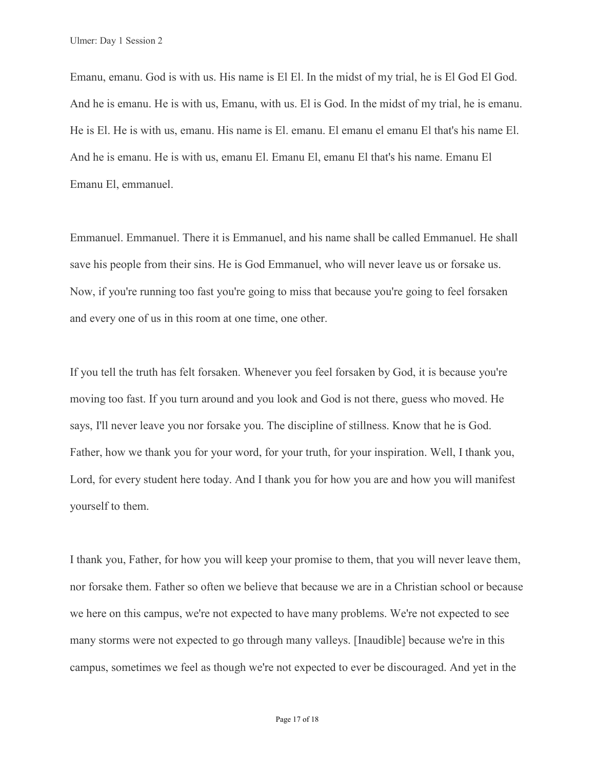Emanu, emanu. God is with us. His name is El El. In the midst of my trial, he is El God El God. And he is emanu. He is with us, Emanu, with us. El is God. In the midst of my trial, he is emanu. He is El. He is with us, emanu. His name is El. emanu. El emanu el emanu El that's his name El. And he is emanu. He is with us, emanu El. Emanu El, emanu El that's his name. Emanu El Emanu El, emmanuel.

Emmanuel. Emmanuel. There it is Emmanuel, and his name shall be called Emmanuel. He shall save his people from their sins. He is God Emmanuel, who will never leave us or forsake us. Now, if you're running too fast you're going to miss that because you're going to feel forsaken and every one of us in this room at one time, one other.

If you tell the truth has felt forsaken. Whenever you feel forsaken by God, it is because you're moving too fast. If you turn around and you look and God is not there, guess who moved. He says, I'll never leave you nor forsake you. The discipline of stillness. Know that he is God. Father, how we thank you for your word, for your truth, for your inspiration. Well, I thank you, Lord, for every student here today. And I thank you for how you are and how you will manifest yourself to them.

I thank you, Father, for how you will keep your promise to them, that you will never leave them, nor forsake them. Father so often we believe that because we are in a Christian school or because we here on this campus, we're not expected to have many problems. We're not expected to see many storms were not expected to go through many valleys. [Inaudible] because we're in this campus, sometimes we feel as though we're not expected to ever be discouraged. And yet in the